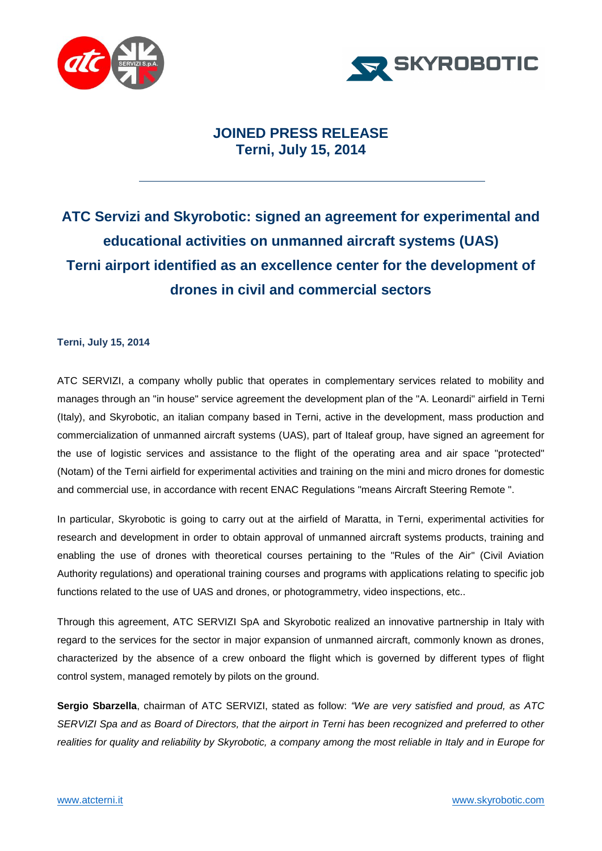



## **JOINED PRESS RELEASE Terni, July 15, 2014**

## **ATC Servizi and Skyrobotic: signed an agreement for experimental and educational activities on unmanned aircraft systems (UAS) Terni airport identified as an excellence center for the development of drones in civil and commercial sectors**

## **Terni, July 15, 2014**

ATC SERVIZI, a company wholly public that operates in complementary services related to mobility and manages through an "in house" service agreement the development plan of the "A. Leonardi" airfield in Terni (Italy), and Skyrobotic, an italian company based in Terni, active in the development, mass production and commercialization of unmanned aircraft systems (UAS), part of Italeaf group, have signed an agreement for the use of logistic services and assistance to the flight of the operating area and air space "protected" (Notam) of the Terni airfield for experimental activities and training on the mini and micro drones for domestic and commercial use, in accordance with recent ENAC Regulations "means Aircraft Steering Remote ".

In particular, Skyrobotic is going to carry out at the airfield of Maratta, in Terni, experimental activities for research and development in order to obtain approval of unmanned aircraft systems products, training and enabling the use of drones with theoretical courses pertaining to the "Rules of the Air" (Civil Aviation Authority regulations) and operational training courses and programs with applications relating to specific job functions related to the use of UAS and drones, or photogrammetry, video inspections, etc..

Through this agreement, ATC SERVIZI SpA and Skyrobotic realized an innovative partnership in Italy with regard to the services for the sector in major expansion of unmanned aircraft, commonly known as drones, characterized by the absence of a crew onboard the flight which is governed by different types of flight control system, managed remotely by pilots on the ground.

**Sergio Sbarzella**, chairman of ATC SERVIZI, stated as follow: *"We are very satisfied and proud, as ATC SERVIZI Spa and as Board of Directors, that the airport in Terni has been recognized and preferred to other realities for quality and reliability by Skyrobotic, a company among the most reliable in Italy and in Europe for*